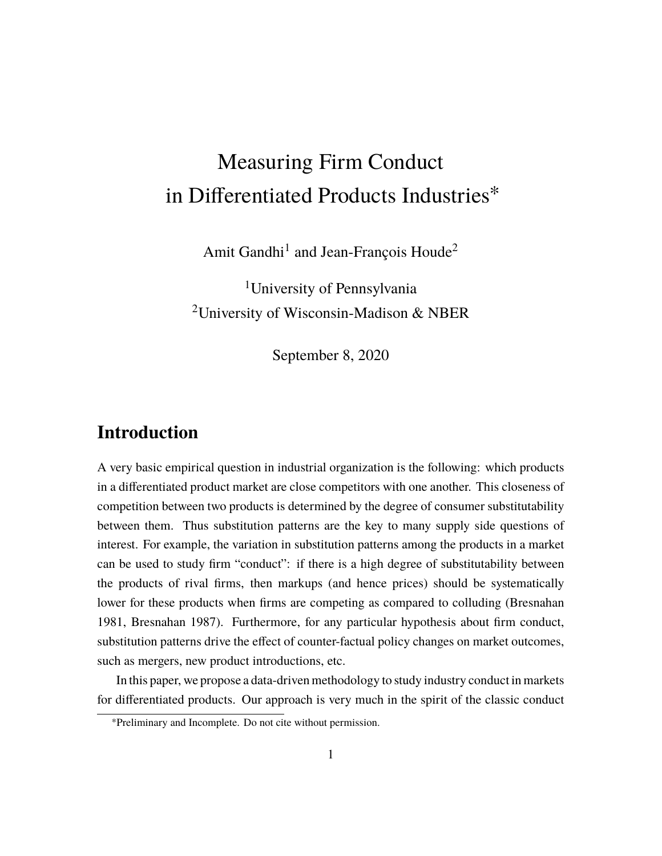# Measuring Firm Conduct in Differentiated Products Industries<sup>∗</sup>

Amit Gandhi<sup>1</sup> and Jean-François Houde<sup>2</sup>

<sup>1</sup>University of Pennsylvania <sup>2</sup>University of Wisconsin-Madison & NBER

September 8, 2020

### **Introduction**

A very basic empirical question in industrial organization is the following: which products in a differentiated product market are close competitors with one another. This closeness of competition between two products is determined by the degree of consumer substitutability between them. Thus substitution patterns are the key to many supply side questions of interest. For example, the variation in substitution patterns among the products in a market can be used to study firm "conduct": if there is a high degree of substitutability between the products of rival firms, then markups (and hence prices) should be systematically lower for these products when firms are competing as compared to colluding (Bresnahan 1981, Bresnahan 1987). Furthermore, for any particular hypothesis about firm conduct, substitution patterns drive the effect of counter-factual policy changes on market outcomes, such as mergers, new product introductions, etc.

In this paper, we propose a data-driven methodology to study industry conduct in markets for differentiated products. Our approach is very much in the spirit of the classic conduct

<sup>∗</sup>Preliminary and Incomplete. Do not cite without permission.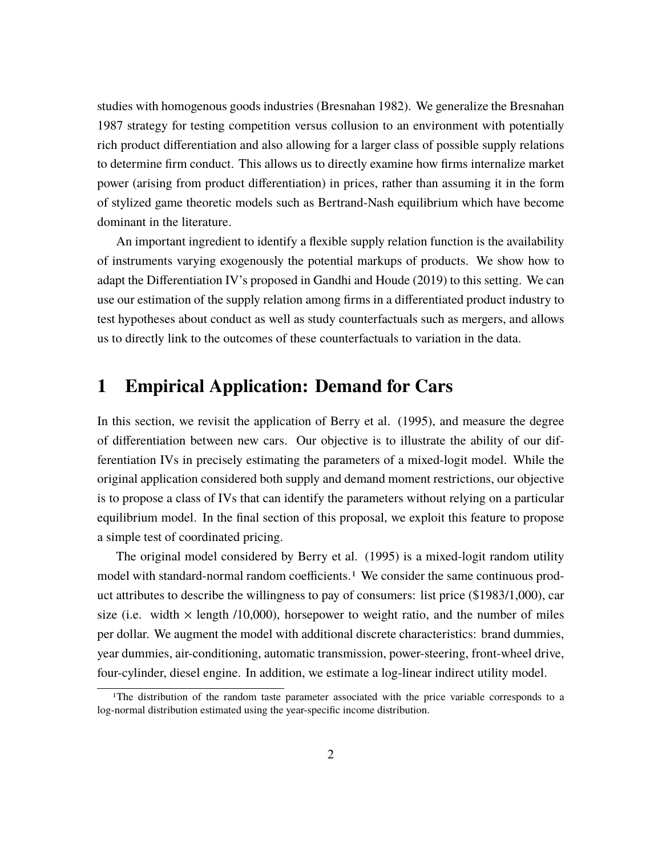studies with homogenous goods industries (Bresnahan 1982). We generalize the Bresnahan 1987 strategy for testing competition versus collusion to an environment with potentially rich product differentiation and also allowing for a larger class of possible supply relations to determine firm conduct. This allows us to directly examine how firms internalize market power (arising from product differentiation) in prices, rather than assuming it in the form of stylized game theoretic models such as Bertrand-Nash equilibrium which have become dominant in the literature.

An important ingredient to identify a flexible supply relation function is the availability of instruments varying exogenously the potential markups of products. We show how to adapt the Differentiation IV's proposed in Gandhi and Houde (2019) to this setting. We can use our estimation of the supply relation among firms in a differentiated product industry to test hypotheses about conduct as well as study counterfactuals such as mergers, and allows us to directly link to the outcomes of these counterfactuals to variation in the data.

#### **1 Empirical Application: Demand for Cars**

In this section, we revisit the application of Berry et al. (1995), and measure the degree of differentiation between new cars. Our objective is to illustrate the ability of our differentiation IVs in precisely estimating the parameters of a mixed-logit model. While the original application considered both supply and demand moment restrictions, our objective is to propose a class of IVs that can identify the parameters without relying on a particular equilibrium model. In the final section of this proposal, we exploit this feature to propose a simple test of coordinated pricing.

The original model considered by Berry et al. (1995) is a mixed-logit random utility model with standard-normal random coefficients.<sup>1</sup> We consider the same continuous product attributes to describe the willingness to pay of consumers: list price (\$1983/1,000), car size (i.e. width  $\times$  length /10,000), horsepower to weight ratio, and the number of miles per dollar. We augment the model with additional discrete characteristics: brand dummies, year dummies, air-conditioning, automatic transmission, power-steering, front-wheel drive, four-cylinder, diesel engine. In addition, we estimate a log-linear indirect utility model.

<sup>1</sup>The distribution of the random taste parameter associated with the price variable corresponds to a log-normal distribution estimated using the year-specific income distribution.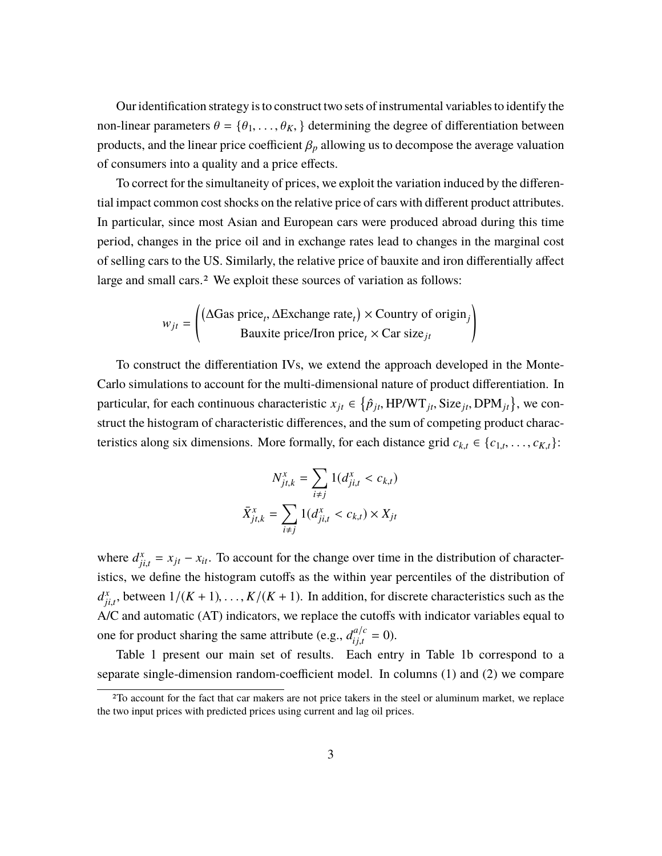Our identification strategy is to construct two sets of instrumental variables to identify the non-linear parameters  $\theta = {\theta_1, \ldots, \theta_K}$  determining the degree of differentiation between products, and the linear price coefficient  $\beta_p$  allowing us to decompose the average valuation of consumers into a quality and a price effects.

To correct for the simultaneity of prices, we exploit the variation induced by the differential impact common cost shocks on the relative price of cars with different product attributes. In particular, since most Asian and European cars were produced abroad during this time period, changes in the price oil and in exchange rates lead to changes in the marginal cost of selling cars to the US. Similarly, the relative price of bauxite and iron differentially affect large and small cars.<sup>2</sup> We exploit these sources of variation as follows:

$$
w_{jt} = \begin{pmatrix} (\Delta \text{Gas price}_t, \Delta \text{Exchange rate}_t) \times \text{Country of origin}_j \\ \text{Bauxite price/Iron price}_t \times \text{Car size}_{jt} \end{pmatrix}
$$

To construct the differentiation IVs, we extend the approach developed in the Monte-Carlo simulations to account for the multi-dimensional nature of product differentiation. In particular, for each continuous characteristic  $x_{jt} \in \{\hat{p}_{jt}, \text{HP/WT}_{jt}, \text{Size}_{jt}, \text{DPM}_{jt}\}\)$ , we construct the histogram of characteristic differences, and the sum of competing product characteristics along six dimensions. More formally, for each distance grid  $c_{k,t} \in \{c_{1,t}, \ldots, c_{K,t}\}$ :

$$
N_{jt,k}^{x} = \sum_{i \neq j} 1(d_{ji,t}^{x} < c_{k,t})
$$
\n
$$
\bar{X}_{jt,k}^{x} = \sum_{i \neq j} 1(d_{ji,t}^{x} < c_{k,t}) \times X_{jt}
$$

where  $d_{ij}^x = x_{jt} - x_{it}$ . To account for the change over time in the distribution of characterwhere  $a_{ji,t} = x_{jt} - x_{it}$ . To account for the enarge over the m the distribution of enargieries, we define the histogram cutoffs as the within year percentiles of the distribution of  $d_{ji,t}^x$ , between  $1/(K + 1)$ , ...,  $K/(K + 1)$ . In addition, for discrete characteristics such as the  $a_{ji,t}$ , between  $1/(K+1)$ ,  $\ldots$ ,  $K/(K+1)$ . In addition, for discrete enaracteristics such as the A/C and automatic (AT) indicators, we replace the cutoffs with indicator variables equal to one for product sharing the same attribute (e.g.,  $d_{ij}^{a/c}$  $\sum_{i,j,t}^{a/c} = 0$ .

Table 1 present our main set of results. Each entry in Table 1b correspond to a separate single-dimension random-coefficient model. In columns (1) and (2) we compare

<sup>2</sup>To account for the fact that car makers are not price takers in the steel or aluminum market, we replace the two input prices with predicted prices using current and lag oil prices.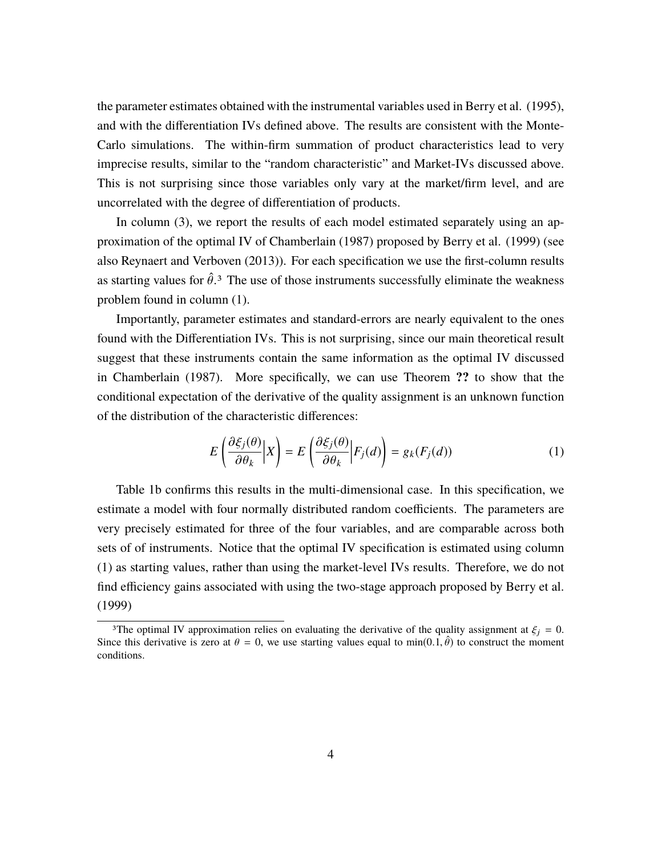the parameter estimates obtained with the instrumental variables used in Berry et al. (1995), and with the differentiation IVs defined above. The results are consistent with the Monte-Carlo simulations. The within-firm summation of product characteristics lead to very imprecise results, similar to the "random characteristic" and Market-IVs discussed above. This is not surprising since those variables only vary at the market/firm level, and are uncorrelated with the degree of differentiation of products.

In column (3), we report the results of each model estimated separately using an approximation of the optimal IV of Chamberlain (1987) proposed by Berry et al. (1999) (see also Reynaert and Verboven (2013)). For each specification we use the first-column results as starting values for  $\hat{\theta}$ .<sup>3</sup> The use of those instruments successfully eliminate the weakness problem found in column (1).

Importantly, parameter estimates and standard-errors are nearly equivalent to the ones found with the Differentiation IVs. This is not surprising, since our main theoretical result suggest that these instruments contain the same information as the optimal IV discussed in Chamberlain (1987). More specifically, we can use Theorem **??** to show that the conditional expectation of the derivative of the quality assignment is an unknown function of the distribution of the characteristic differences:

$$
E\left(\frac{\partial \xi_j(\theta)}{\partial \theta_k}\middle|X\right) = E\left(\frac{\partial \xi_j(\theta)}{\partial \theta_k}\middle|F_j(d)\right) = g_k(F_j(d))\tag{1}
$$

Table 1b confirms this results in the multi-dimensional case. In this specification, we estimate a model with four normally distributed random coefficients. The parameters are very precisely estimated for three of the four variables, and are comparable across both sets of of instruments. Notice that the optimal IV specification is estimated using column (1) as starting values, rather than using the market-level IVs results. Therefore, we do not find efficiency gains associated with using the two-stage approach proposed by Berry et al. (1999)

<sup>&</sup>lt;sup>3</sup>The optimal IV approximation relies on evaluating the derivative of the quality assignment at  $\xi_i = 0$ . Since this derivative is zero at  $\theta = 0$ , we use starting values equal to min(0.1,  $\hat{\theta}$ ) to construct the moment conditions.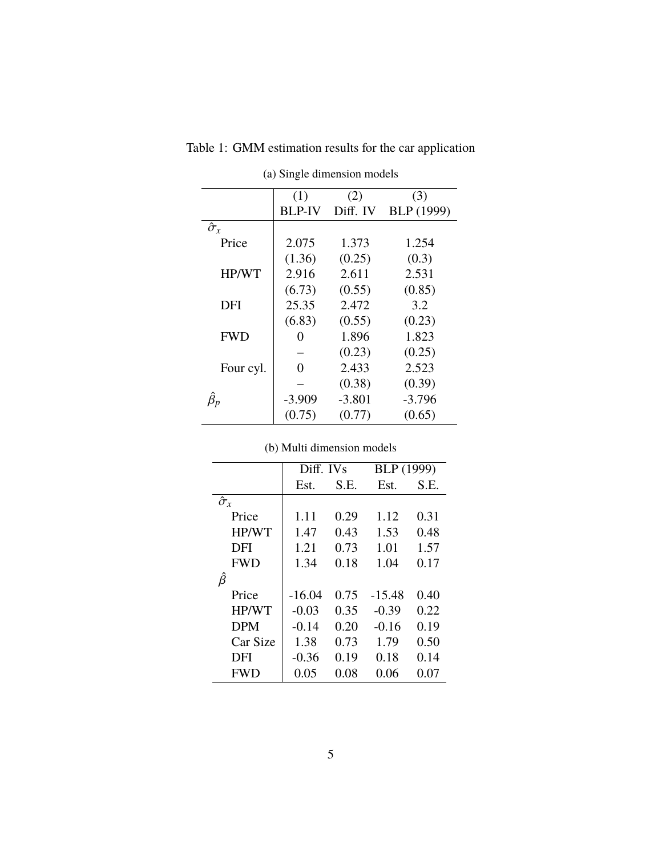|                  | (1)           | (2)      | (3)        |
|------------------|---------------|----------|------------|
|                  | <b>BLP-IV</b> | Diff. IV | BLP (1999) |
| $\hat{\sigma}_x$ |               |          |            |
| Price            | 2.075         | 1.373    | 1.254      |
|                  | (1.36)        | (0.25)   | (0.3)      |
| HP/WT            | 2.916         | 2.611    | 2.531      |
|                  | (6.73)        | (0.55)   | (0.85)     |
| DFI              | 25.35         | 2.472    | 3.2        |
|                  | (6.83)        | (0.55)   | (0.23)     |
| <b>FWD</b>       | $\theta$      | 1.896    | 1.823      |
|                  |               | (0.23)   | (0.25)     |
| Four cyl.        | 0             | 2.433    | 2.523      |
|                  |               | (0.38)   | (0.39)     |
| $\hat{\beta}_p$  | $-3.909$      | $-3.801$ | $-3.796$   |
|                  | (0.75)        | (0.77)   | (0.65)     |

Table 1: GMM estimation results for the car application

(a) Single dimension models

|                  | Diff. IVs |      | BLP (1999) |      |
|------------------|-----------|------|------------|------|
|                  | Est.      | S.E. | Est.       | S.E. |
| $\hat{\sigma}_x$ |           |      |            |      |
| Price            | 1.11      | 0.29 | 1.12       | 0.31 |
| HP/WT            | 1.47      | 0.43 | 1.53       | 0.48 |
| DFI              | 1.21      | 0.73 | 1.01       | 1.57 |
| <b>FWD</b>       | 1.34      | 0.18 | 1.04       | 0.17 |
| β                |           |      |            |      |
| Price            | $-16.04$  | 0.75 | $-15.48$   | 0.40 |
| <b>HP/WT</b>     | $-0.03$   | 0.35 | $-0.39$    | 0.22 |
| <b>DPM</b>       | $-0.14$   | 0.20 | $-0.16$    | 0.19 |
| Car Size         | 1.38      | 0.73 | 1.79       | 0.50 |
| DFI              | $-0.36$   | 0.19 | 0.18       | 0.14 |
| <b>FWD</b>       | 0.05      | 0.08 | 0.06       | 0.07 |

(b) Multi dimension models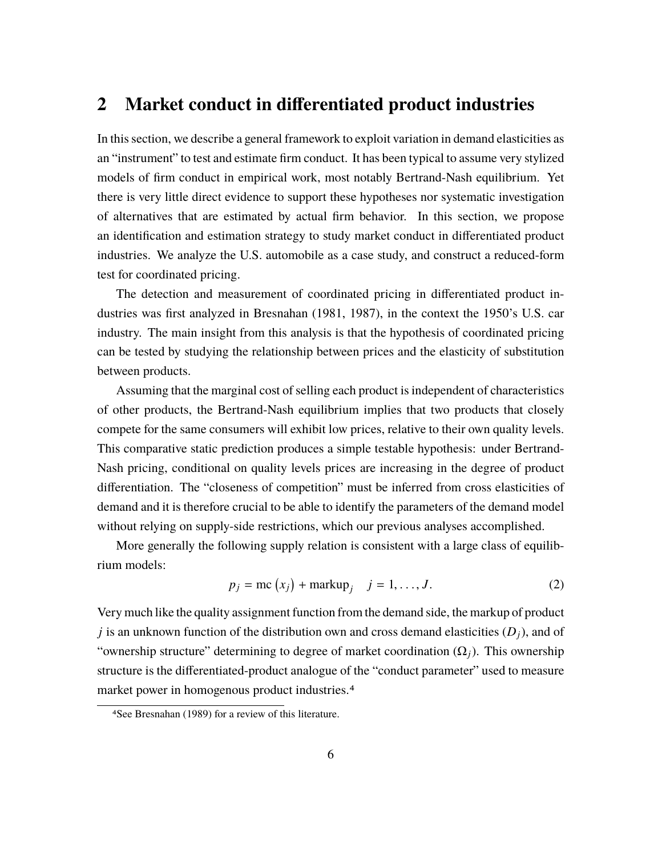#### **2 Market conduct in differentiated product industries**

In this section, we describe a general framework to exploit variation in demand elasticities as an "instrument" to test and estimate firm conduct. It has been typical to assume very stylized models of firm conduct in empirical work, most notably Bertrand-Nash equilibrium. Yet there is very little direct evidence to support these hypotheses nor systematic investigation of alternatives that are estimated by actual firm behavior. In this section, we propose an identification and estimation strategy to study market conduct in differentiated product industries. We analyze the U.S. automobile as a case study, and construct a reduced-form test for coordinated pricing.

The detection and measurement of coordinated pricing in differentiated product industries was first analyzed in Bresnahan (1981, 1987), in the context the 1950's U.S. car industry. The main insight from this analysis is that the hypothesis of coordinated pricing can be tested by studying the relationship between prices and the elasticity of substitution between products.

Assuming that the marginal cost of selling each product is independent of characteristics of other products, the Bertrand-Nash equilibrium implies that two products that closely compete for the same consumers will exhibit low prices, relative to their own quality levels. This comparative static prediction produces a simple testable hypothesis: under Bertrand-Nash pricing, conditional on quality levels prices are increasing in the degree of product differentiation. The "closeness of competition" must be inferred from cross elasticities of demand and it is therefore crucial to be able to identify the parameters of the demand model without relying on supply-side restrictions, which our previous analyses accomplished.

More generally the following supply relation is consistent with a large class of equilibrium models:

$$
p_j = \text{mc}(x_j) + \text{markup}_j \quad j = 1, \dots, J. \tag{2}
$$

Very much like the quality assignment function from the demand side, the markup of product *j* is an unknown function of the distribution own and cross demand elasticities (*Dj*), and of "ownership structure" determining to degree of market coordination  $(\Omega_i)$ . This ownership structure is the differentiated-product analogue of the "conduct parameter" used to measure market power in homogenous product industries.4

<sup>4</sup>See Bresnahan (1989) for a review of this literature.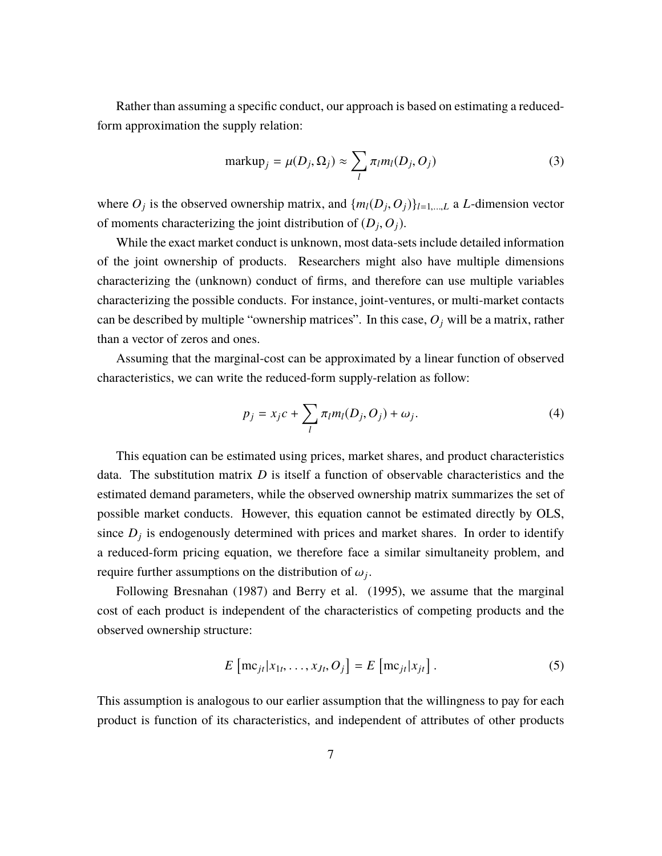Rather than assuming a specific conduct, our approach is based on estimating a reducedform approximation the supply relation:

$$
\text{markup}_j = \mu(D_j, \Omega_j) \approx \sum_l \pi_l m_l(D_j, O_j) \tag{3}
$$

where  $O_j$  is the observed ownership matrix, and  $\{m_l(D_j, O_j)\}_{l=1,\dots,L}$  a *L*-dimension vector of moments characterizing the joint distribution of  $(D_j, O_j)$ .

While the exact market conduct is unknown, most data-sets include detailed information of the joint ownership of products. Researchers might also have multiple dimensions characterizing the (unknown) conduct of firms, and therefore can use multiple variables characterizing the possible conducts. For instance, joint-ventures, or multi-market contacts can be described by multiple "ownership matrices". In this case,  $O_j$  will be a matrix, rather than a vector of zeros and ones.

Assuming that the marginal-cost can be approximated by a linear function of observed characteristics, we can write the reduced-form supply-relation as follow:

$$
p_j = x_j c + \sum_l \pi_l m_l(D_j, O_j) + \omega_j.
$$
\n(4)

This equation can be estimated using prices, market shares, and product characteristics data. The substitution matrix *D* is itself a function of observable characteristics and the estimated demand parameters, while the observed ownership matrix summarizes the set of possible market conducts. However, this equation cannot be estimated directly by OLS, since  $D_j$  is endogenously determined with prices and market shares. In order to identify a reduced-form pricing equation, we therefore face a similar simultaneity problem, and require further assumptions on the distribution of  $\omega_j$ .

Following Bresnahan (1987) and Berry et al. (1995), we assume that the marginal cost of each product is independent of the characteristics of competing products and the observed ownership structure:

$$
E\left[\mathrm{mc}_{jt}|x_{1t},\ldots,x_{Jt},O_j\right] = E\left[\mathrm{mc}_{jt}|x_{jt}\right].\tag{5}
$$

This assumption is analogous to our earlier assumption that the willingness to pay for each product is function of its characteristics, and independent of attributes of other products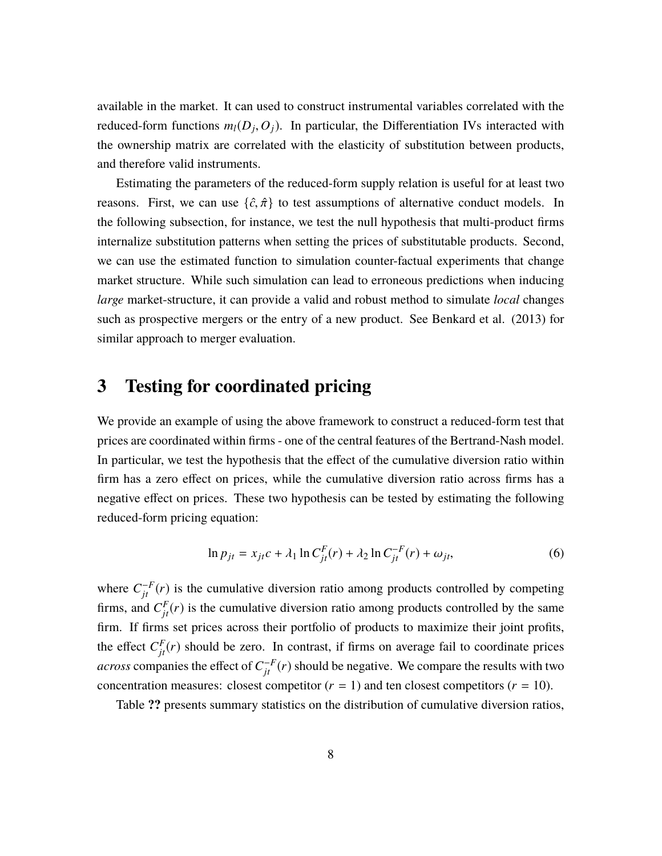available in the market. It can used to construct instrumental variables correlated with the reduced-form functions  $m_l(D_j, O_j)$ . In particular, the Differentiation IVs interacted with the ownership matrix are correlated with the elasticity of substitution between products, and therefore valid instruments.

Estimating the parameters of the reduced-form supply relation is useful for at least two reasons. First, we can use  $\{\hat{c}, \hat{\pi}\}\$  to test assumptions of alternative conduct models. In the following subsection, for instance, we test the null hypothesis that multi-product firms internalize substitution patterns when setting the prices of substitutable products. Second, we can use the estimated function to simulation counter-factual experiments that change market structure. While such simulation can lead to erroneous predictions when inducing *large* market-structure, it can provide a valid and robust method to simulate *local* changes such as prospective mergers or the entry of a new product. See Benkard et al. (2013) for similar approach to merger evaluation.

#### **3 Testing for coordinated pricing**

We provide an example of using the above framework to construct a reduced-form test that prices are coordinated within firms - one of the central features of the Bertrand-Nash model. In particular, we test the hypothesis that the effect of the cumulative diversion ratio within firm has a zero effect on prices, while the cumulative diversion ratio across firms has a negative effect on prices. These two hypothesis can be tested by estimating the following reduced-form pricing equation:

$$
\ln p_{jt} = x_{jt}c + \lambda_1 \ln C_{jt}^F(r) + \lambda_2 \ln C_{jt}^{-F}(r) + \omega_{jt},
$$
\n(6)

where  $C_{jt}^{-F}(r)$  is the cumulative diversion ratio among products controlled by competing firms, and  $C_{jt}^F(r)$  is the cumulative diversion ratio among products controlled by the same firm. If firms set prices across their portfolio of products to maximize their joint profits, the effect  $C_{j}^{F}(r)$  should be zero. In contrast, if firms on average fail to coordinate prices *across* companies the effect of  $C_{jt}^{-F}(r)$  should be negative. We compare the results with two concentration measures: closest competitor  $(r = 1)$  and ten closest competitors  $(r = 10)$ .

Table **??** presents summary statistics on the distribution of cumulative diversion ratios,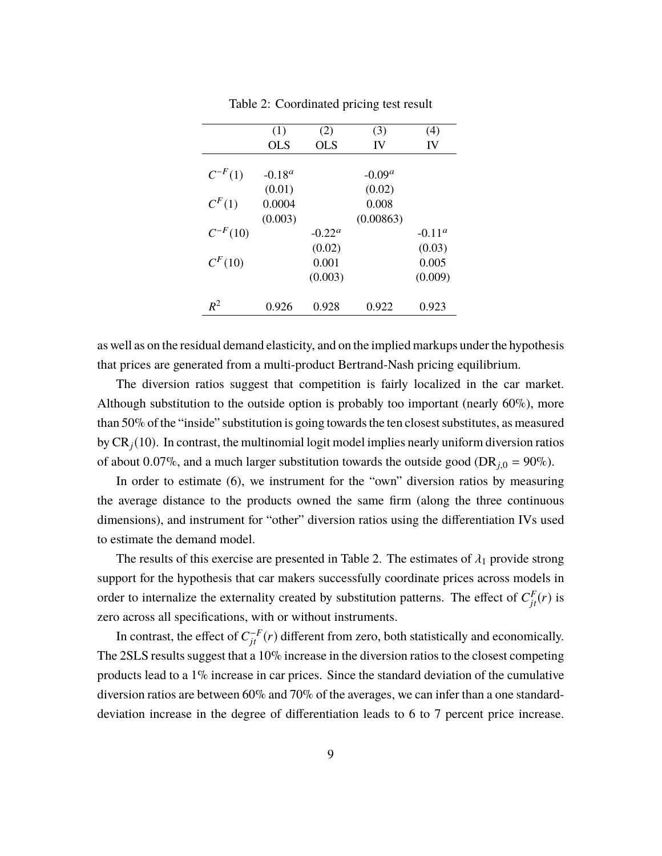|              | (1)        | (2)              | (3)       | (4)       |
|--------------|------------|------------------|-----------|-----------|
|              | <b>OLS</b> | <b>OLS</b>       | IV        | IV        |
|              |            |                  |           |           |
| $C^{-F}(1)$  | $-0.18^a$  |                  | $-0.09^a$ |           |
|              | (0.01)     |                  | (0.02)    |           |
| $C^F(1)$     | 0.0004     |                  | 0.008     |           |
|              | (0.003)    |                  | (0.00863) |           |
| $C^{-F}(10)$ |            | $-0.22^{\alpha}$ |           | $-0.11^a$ |
|              |            | (0.02)           |           | (0.03)    |
| $C^{F}(10)$  |            | 0.001            |           | 0.005     |
|              |            | (0.003)          |           | (0.009)   |
| $R^2$        | 0.926      | 0.928            | 0.922     | 0.923     |

Table 2: Coordinated pricing test result

as well as on the residual demand elasticity, and on the implied markups under the hypothesis that prices are generated from a multi-product Bertrand-Nash pricing equilibrium.

The diversion ratios suggest that competition is fairly localized in the car market. Although substitution to the outside option is probably too important (nearly 60%), more than 50% of the "inside" substitution is going towards the ten closest substitutes, as measured by  $CR_j(10)$ . In contrast, the multinomial logit model implies nearly uniform diversion ratios of about 0.07%, and a much larger substitution towards the outside good (DR<sub>j,0</sub> = 90%).

In order to estimate (6), we instrument for the "own" diversion ratios by measuring the average distance to the products owned the same firm (along the three continuous dimensions), and instrument for "other" diversion ratios using the differentiation IVs used to estimate the demand model.

The results of this exercise are presented in Table 2. The estimates of  $\lambda_1$  provide strong support for the hypothesis that car makers successfully coordinate prices across models in order to internalize the externality created by substitution patterns. The effect of  $C_{jt}^F(r)$  is zero across all specifications, with or without instruments.

In contrast, the effect of  $C_{jt}^{-F}(r)$  different from zero, both statistically and economically. The 2SLS results suggest that a 10% increase in the diversion ratios to the closest competing products lead to a 1% increase in car prices. Since the standard deviation of the cumulative diversion ratios are between 60% and 70% of the averages, we can infer than a one standarddeviation increase in the degree of differentiation leads to 6 to 7 percent price increase.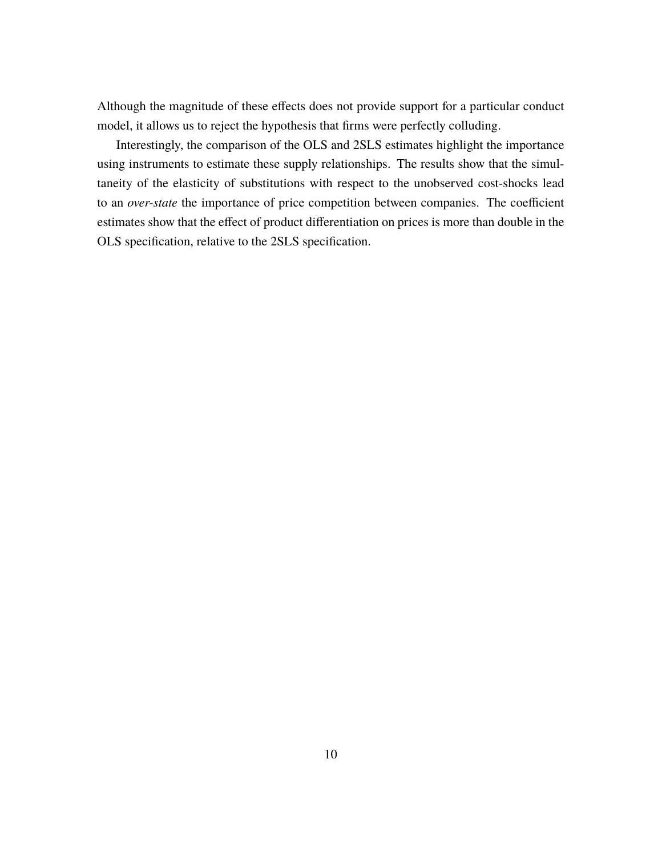Although the magnitude of these effects does not provide support for a particular conduct model, it allows us to reject the hypothesis that firms were perfectly colluding.

Interestingly, the comparison of the OLS and 2SLS estimates highlight the importance using instruments to estimate these supply relationships. The results show that the simultaneity of the elasticity of substitutions with respect to the unobserved cost-shocks lead to an *over-state* the importance of price competition between companies. The coefficient estimates show that the effect of product differentiation on prices is more than double in the OLS specification, relative to the 2SLS specification.